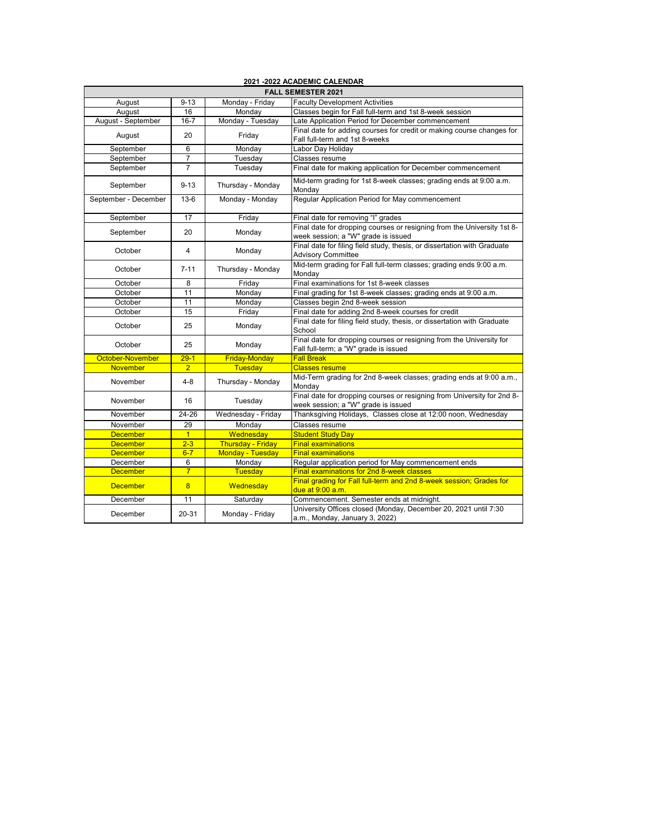| 2021 -2022 ACADEMIC CALENDAR |                |                          |                                                                                                                |  |  |  |
|------------------------------|----------------|--------------------------|----------------------------------------------------------------------------------------------------------------|--|--|--|
| <b>FALL SEMESTER 2021</b>    |                |                          |                                                                                                                |  |  |  |
| August                       | $9 - 13$       | Monday - Friday          | <b>Faculty Development Activities</b>                                                                          |  |  |  |
| August                       | 16             | Monday                   | Classes begin for Fall full-term and 1st 8-week session                                                        |  |  |  |
| August - September           | $16 - 7$       | Monday - Tuesday         | Late Application Period for December commencement                                                              |  |  |  |
| August                       | 20             | Friday                   | Final date for adding courses for credit or making course changes for<br>Fall full-term and 1st 8-weeks        |  |  |  |
| September                    | 6              | Monday                   | Labor Day Holiday                                                                                              |  |  |  |
| September                    | 7              | Tuesday                  | Classes resume                                                                                                 |  |  |  |
| September                    | $\overline{7}$ | Tuesday                  | Final date for making application for December commencement                                                    |  |  |  |
| September                    | $9 - 13$       | Thursday - Monday        | Mid-term grading for 1st 8-week classes; grading ends at 9:00 a.m.<br>Monday                                   |  |  |  |
| September - December         | $13-6$         | Monday - Monday          | Regular Application Period for May commencement                                                                |  |  |  |
| September                    | 17             | Friday                   | Final date for removing "I" grades                                                                             |  |  |  |
| September                    | 20             | Monday                   | Final date for dropping courses or resigning from the University 1st 8-<br>week session; a "W" grade is issued |  |  |  |
| October                      | $\overline{4}$ | Monday                   | Final date for filing field study, thesis, or dissertation with Graduate<br><b>Advisory Committee</b>          |  |  |  |
| October                      | $7 - 11$       | Thursday - Monday        | Mid-term grading for Fall full-term classes; grading ends 9:00 a.m.<br>Mondav                                  |  |  |  |
| October                      | 8              | Friday                   | Final examinations for 1st 8-week classes                                                                      |  |  |  |
| October                      | 11             | Monday                   | Final grading for 1st 8-week classes; grading ends at 9:00 a.m.                                                |  |  |  |
| October                      | 11             | Monday                   | Classes begin 2nd 8-week session                                                                               |  |  |  |
| October                      | 15             | Friday                   | Final date for adding 2nd 8-week courses for credit                                                            |  |  |  |
| October                      | 25             | Monday                   | Final date for filing field study, thesis, or dissertation with Graduate<br>School                             |  |  |  |
| October                      | 25             | Monday                   | Final date for dropping courses or resigning from the University for<br>Fall full-term; a "W" grade is issued  |  |  |  |
| October-November             | $29-1$         | <b>Friday-Monday</b>     | <b>Fall Break</b>                                                                                              |  |  |  |
| <b>November</b>              | $\overline{2}$ | Tuesday                  | <b>Classes resume</b>                                                                                          |  |  |  |
| November                     | $4 - 8$        | Thursday - Monday        | Mid-Term grading for 2nd 8-week classes; grading ends at 9:00 a.m.,<br>Monday                                  |  |  |  |
| November                     | 16             | Tuesday                  | Final date for dropping courses or resigning from University for 2nd 8-<br>week session; a "W" grade is issued |  |  |  |
| November                     | 24-26          | Wednesday - Friday       | Thanksgiving Holidays, Classes close at 12:00 noon, Wednesday                                                  |  |  |  |
| November                     | 29             | Monday                   | Classes resume                                                                                                 |  |  |  |
| <b>December</b>              | $\overline{1}$ | Wednesday                | <b>Student Study Day</b>                                                                                       |  |  |  |
| <b>December</b>              | $2 - 3$        | <b>Thursday - Friday</b> | <b>Final examinations</b>                                                                                      |  |  |  |
| <b>December</b>              | $6-7$          | <b>Monday - Tuesday</b>  | <b>Final examinations</b>                                                                                      |  |  |  |
| December                     | 6              | Monday                   | Regular application period for May commencement ends                                                           |  |  |  |
| <b>December</b>              | $\overline{7}$ | <b>Tuesday</b>           | <b>Final examinations for 2nd 8-week classes</b>                                                               |  |  |  |
| <b>December</b>              | 8              | Wednesday                | Final grading for Fall full-term and 2nd 8-week session; Grades for<br>due at 9:00 a.m.                        |  |  |  |
| December                     | 11             | Saturday                 | Commencement. Semester ends at midnight.                                                                       |  |  |  |
| December                     | 20-31          | Monday - Friday          | University Offices closed (Monday, December 20, 2021 until 7:30<br>a.m., Monday, January 3, 2022)              |  |  |  |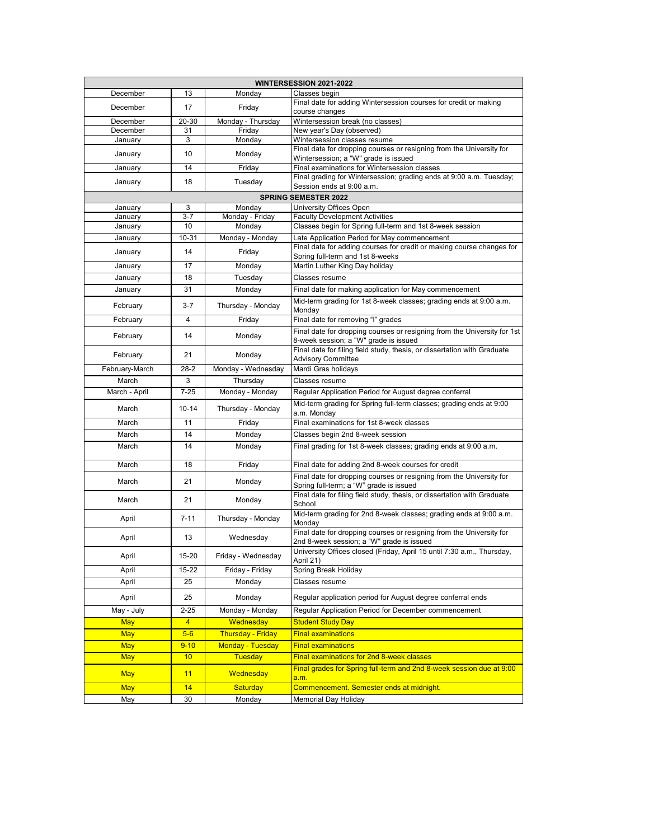| <b>WINTERSESSION 2021-2022</b> |                 |                          |                                                                                                                   |  |  |
|--------------------------------|-----------------|--------------------------|-------------------------------------------------------------------------------------------------------------------|--|--|
| December                       | 13              | Monday                   | Classes begin                                                                                                     |  |  |
| December                       | 17              | Friday                   | Final date for adding Wintersession courses for credit or making<br>course changes                                |  |  |
| December                       | 20-30           | Monday - Thursday        | Wintersession break (no classes)                                                                                  |  |  |
| December                       | 31              | Friday                   | New year's Day (observed)                                                                                         |  |  |
| January                        | 3               | Monday                   | Wintersession classes resume                                                                                      |  |  |
| January                        | 10              | Monday                   | Final date for dropping courses or resigning from the University for<br>Wintersession; a "W" grade is issued      |  |  |
| January                        | 14              | Friday                   | Final examinations for Wintersession classes                                                                      |  |  |
| January                        | 18              | Tuesday                  | Final grading for Wintersession; grading ends at 9:00 a.m. Tuesday;<br>Session ends at 9:00 a.m.                  |  |  |
|                                |                 |                          | <b>SPRING SEMESTER 2022</b>                                                                                       |  |  |
| January                        | 3               | Monday                   | University Offices Open                                                                                           |  |  |
| January                        | $3 - 7$         | Monday - Friday          | <b>Faculty Development Activities</b>                                                                             |  |  |
| January                        | 10              | Monday                   | Classes begin for Spring full-term and 1st 8-week session                                                         |  |  |
| January                        | 10-31           | Monday - Monday          | Late Application Period for May commencement                                                                      |  |  |
| January                        | 14              | Friday                   | Final date for adding courses for credit or making course changes for<br>Spring full-term and 1st 8-weeks         |  |  |
| January                        | 17              | Monday                   | Martin Luther King Day holiday                                                                                    |  |  |
| January                        | 18              | Tuesday                  | Classes resume                                                                                                    |  |  |
| January                        | 31              | Monday                   | Final date for making application for May commencement                                                            |  |  |
| February                       | 3-7             | Thursday - Monday        | Mid-term grading for 1st 8-week classes; grading ends at 9:00 a.m.<br>Monday                                      |  |  |
| February                       | 4               | Friday                   | Final date for removing "I" grades                                                                                |  |  |
|                                | 14              |                          | Final date for dropping courses or resigning from the University for 1st                                          |  |  |
| February                       |                 | Monday                   | 8-week session; a "W" grade is issued                                                                             |  |  |
| February                       | 21              | Monday                   | Final date for filing field study, thesis, or dissertation with Graduate<br><b>Advisory Committee</b>             |  |  |
| February-March                 | 28-2            | Monday - Wednesday       | Mardi Gras holidays                                                                                               |  |  |
| March                          | 3               | Thursday                 | Classes resume                                                                                                    |  |  |
| March - April                  | $7 - 25$        | Monday - Monday          | Regular Application Period for August degree conferral                                                            |  |  |
| March                          | $10 - 14$       | Thursday - Monday        | Mid-term grading for Spring full-term classes; grading ends at 9:00<br>a.m. Monday                                |  |  |
| March                          | 11              | Friday                   | Final examinations for 1st 8-week classes                                                                         |  |  |
| March                          | 14              | Monday                   | Classes begin 2nd 8-week session                                                                                  |  |  |
| March                          | 14              | Monday                   | Final grading for 1st 8-week classes; grading ends at 9:00 a.m.                                                   |  |  |
| March                          | 18              | Friday                   | Final date for adding 2nd 8-week courses for credit                                                               |  |  |
| March                          | 21              | Monday                   | Final date for dropping courses or resigning from the University for<br>Spring full-term; a "W" grade is issued   |  |  |
|                                |                 |                          | Final date for filing field study, thesis, or dissertation with Graduate                                          |  |  |
| March                          | 21              | Monday                   | School                                                                                                            |  |  |
| April                          | $7 - 11$        | Thursday - Monday        | Mid-term grading for 2nd 8-week classes; grading ends at 9:00 a.m.<br>Mondav                                      |  |  |
| April                          | 13              | Wednesday                | Final date for dropping courses or resigning from the University for<br>2nd 8-week session; a "W" grade is issued |  |  |
| April                          | 15-20           | Friday - Wednesday       | University Offices closed (Friday, April 15 until 7:30 a.m., Thursday,<br>April 21)                               |  |  |
| April                          | 15-22           | Friday - Friday          | Spring Break Holiday                                                                                              |  |  |
| April                          | 25              | Monday                   | Classes resume                                                                                                    |  |  |
| April                          | 25              | Monday                   | Regular application period for August degree conferral ends                                                       |  |  |
| May - July                     | $2 - 25$        | Monday - Monday          | Regular Application Period for December commencement                                                              |  |  |
| May                            | $\overline{4}$  | Wednesday                | <b>Student Study Day</b>                                                                                          |  |  |
| <b>May</b>                     | $5-6$           | <b>Thursday - Friday</b> | <b>Final examinations</b>                                                                                         |  |  |
| <b>May</b>                     | $9 - 10$        | Monday - Tuesday         | <b>Final examinations</b>                                                                                         |  |  |
| <b>May</b>                     | 10 <sub>1</sub> | <b>Tuesday</b>           | Final examinations for 2nd 8-week classes                                                                         |  |  |
| <b>May</b>                     | 11              | Wednesday                | Final grades for Spring full-term and 2nd 8-week session due at 9:00                                              |  |  |
| <b>May</b>                     | 14              | <b>Saturday</b>          | a.m.<br>Commencement. Semester ends at midnight.                                                                  |  |  |
| May                            | 30              | Monday                   | Memorial Day Holiday                                                                                              |  |  |